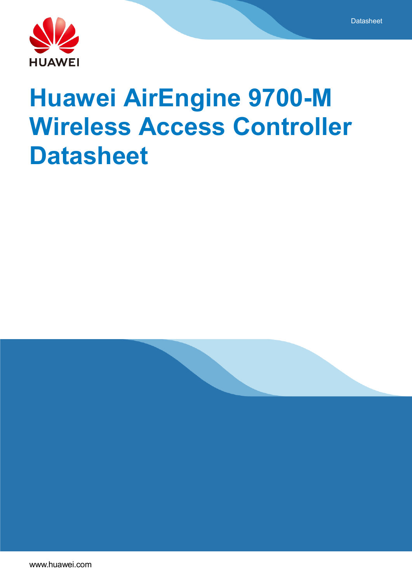

# **Huawei AirEngine 9700-M Wireless Access Controller Datasheet**

**Datasheet** 

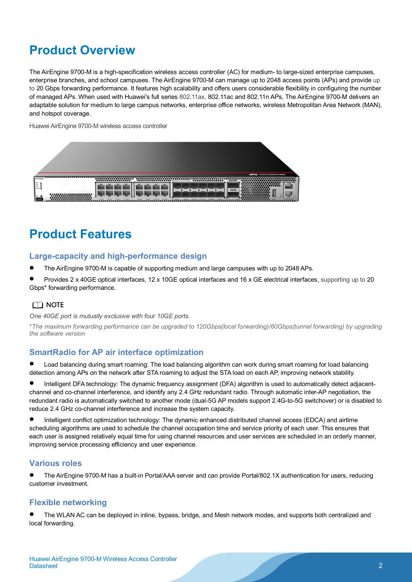# **Product Overview**

The AirEngine 9700-M is a high-specification wireless access controller (AC) for medium- to large-sized enterprise campuses, enterprise branches, and school campuses. The AirEngine 9700-M can manage up to 2048 access points (APs) and provide up to 20 Gbps forwarding performance. It features high scalability and offers users considerable flexibility in configuring the number of managed APs. When used with Huawei's full series 802.11ax, 802.11ac and 802.11n APs, The AirEngine 9700-M delivers an adaptable solution for medium to large campus networks, enterprise office networks, wireless Metropolitan Area Network (MAN), and hotspot coverage.

Huawei AirEngine 9700-M wireless access controller



# **Product Features**

#### **Large-capacity and high-performance design**

- The AirEngine 9700-M is capable of supporting medium and large campuses with up to 2048 APs.
- Provides 2 x 40GE optical interfaces, 12 x 10GE optical interfaces and 16 x GE electrical interfaces, supporting up to 20 Gbps\* forwarding performance.

### $\Box$  Note

*One 40GE port is mutually exclusive with four 10GE ports.*

\**The maximum forwarding performance can be upgraded to 120Gbps(local forwarding)/60Gbps(tunnel forwarding) by upgrading the software version*

### **SmartRadio for AP air interface optimization**

 Load balancing during smart roaming: The load balancing algorithm can work during smart roaming for load balancing detection among APs on the network after STA roaming to adjust the STA load on each AP, improving network stability.

 Intelligent DFA technology: The dynamic frequency assignment (DFA) algorithm is used to automatically detect adjacentchannel and co-channel interference, and identify any 2.4 GHz redundant radio. Through automatic inter-AP negotiation, the redundant radio is automatically switched to another mode (dual-5G AP models support 2.4G-to-5G switchover) or is disabled to reduce 2.4 GHz co-channel interference and increase the system capacity.

 Intelligent conflict optimization technology: The dynamic enhanced distributed channel access (EDCA) and airtime scheduling algorithms are used to schedule the channel occupation time and service priority of each user. This ensures that each user is assigned relatively equal time for using channel resources and user services are scheduled in an orderly manner, improving service processing efficiency and user experience.

#### **Various roles**

 The AirEngine 9700-M has a built-in Portal/AAA server and can provide Portal/802.1X authentication for users, reducing customer investment.

#### **Flexible networking**

 The WLAN AC can be deployed in inline, bypass, bridge, and Mesh network modes, and supports both centralized and local forwarding.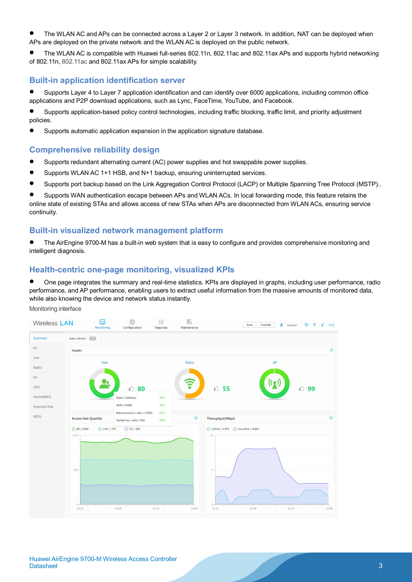- The WLAN AC and APs can be connected across a Layer 2 or Layer 3 network. In addition, NAT can be deployed when APs are deployed on the private network and the WLAN AC is deployed on the public network.
- The WLAN AC is compatible with Huawei full-series 802.11n, 802.11ac and 802.11ax APs and supports hybrid networking of 802.11n, 802.11ac and 802.11ax APs for simple scalability.

### **Built-in application identification server**

 Supports Layer 4 to Layer 7 application identification and can identify over 6000 applications, including common office applications and P2P download applications, such as Lync, FaceTime, YouTube, and Facebook.

- Supports application-based policy control technologies, including traffic blocking, traffic limit, and priority adjustment policies.
- Supports automatic application expansion in the application signature database.

#### **Comprehensive reliability design**

- Supports redundant alternating current (AC) power supplies and hot swappable power supplies.
- Supports WLAN AC 1+1 HSB, and N+1 backup, ensuring uninterrupted services.
- Supports port backup based on the Link Aggregation Control Protocol (LACP) or Multiple Spanning Tree Protocol (MSTP)..

 Supports WAN authentication escape between APs and WLAN ACs. In local forwarding mode, this feature retains the online state of existing STAs and allows access of new STAs when APs are disconnected from WLAN ACs, ensuring service continuity.

#### **Built-in visualized network management platform**

 The AirEngine 9700-M has a built-in web system that is easy to configure and provides comprehensive monitoring and intelligent diagnosis.

### **Health-centric one-page monitoring, visualized KPIs**

 One page integrates the summary and real-time statistics. KPIs are displayed in graphs, including user performance, radio performance, and AP performance, enabling users to extract useful information from the massive amounts of monitored data, while also knowing the device and network status instantly.

Monitoring interface

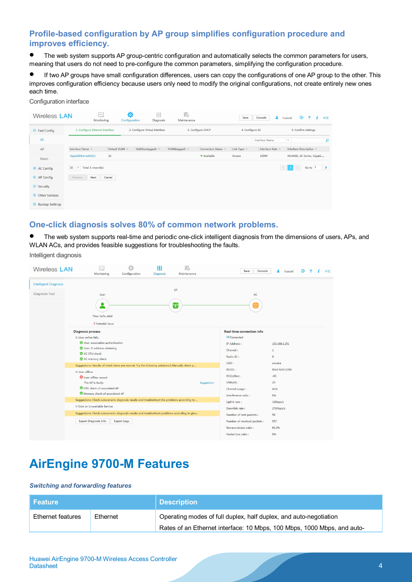## **Profile-based configuration by AP group simplifies configuration procedure and improves efficiency.**

 The web system supports AP group-centric configuration and automatically selects the common parameters for users, meaning that users do not need to pre-configure the common parameters, simplifying the configuration procedure.

 If two AP groups have small configuration differences, users can copy the configurations of one AP group to the other. This improves configuration efficiency because users only need to modify the original configurations, not create entirely new ones each time.

Configuration interface

| <b>Wireless LAN</b>               | $\sim$<br>Monitoring                    | Ð<br>Configuration | 银<br><b>Diagnosis</b>          | 罭<br>Maintenance |                     | Save        | A<br>Console     | G<br>$\overline{2}$<br>中文<br>huawei<br>i |
|-----------------------------------|-----------------------------------------|--------------------|--------------------------------|------------------|---------------------|-------------|------------------|------------------------------------------|
| $\odot$ Fast Config               | 1. Configure Ethernet Interface         |                    | 2. Configure Virtual Interface |                  | 3. Configure DHCP   |             | 4. Configure AC  | 5. Confirm Settings                      |
| AC                                |                                         |                    |                                |                  |                     |             | Interface Name   | $\Omega$<br>$\mathbf{v}$                 |
| AP                                | Interface Name +                        | Default VLAN +     | VLAN(untagged) -               | VLAN(tagged) ~   | Connection Status 4 | Link Type - | Interface Rate A | Interface Description +                  |
| Mesh                              | GigabitEthernet0/0/1                    | 10                 |                                |                  | · Available         | Access      | 10000            | HUAWEI, AC Series, Gigabi                |
| AC Config                         | Total 1 record(s)<br>10<br>$\mathbf{v}$ |                    |                                |                  |                     |             | $\langle$        | Go to 1<br>$\rightarrow$                 |
| AP Config                         | Previous<br>Next                        | Cancel             |                                |                  |                     |             |                  |                                          |
| Security                          |                                         |                    |                                |                  |                     |             |                  |                                          |
| $\odot$<br><b>Other Services</b>  |                                         |                    |                                |                  |                     |             |                  |                                          |
| $\odot$<br><b>Backup Settings</b> |                                         |                    |                                |                  |                     |             |                  |                                          |

### **One-click diagnosis solves 80% of common network problems.**

 The web system supports real-time and periodic one-click intelligent diagnosis from the dimensions of users, APs, and WLAN ACs, and provides feasible suggestions for troubleshooting the faults.

Intelligent diagnosis

| <b>Wireless LAN</b>          | ÷<br>Monitoring                                                                                | 总<br>Configuration | 银<br><b>Diagnosis</b> | $\overline{\Xi}{}^{2}_{\lambda}$<br>Maintenance | Console<br>Save                  | huawei        | Г÷ | 中文 |
|------------------------------|------------------------------------------------------------------------------------------------|--------------------|-----------------------|-------------------------------------------------|----------------------------------|---------------|----|----|
| <b>Intelligent Diagnosis</b> |                                                                                                |                    |                       |                                                 |                                  |               |    |    |
| <b>Diagnosis Tool</b>        | User                                                                                           |                    |                       | AP                                              | AC                               |               |    |    |
|                              | $\bullet$<br>74ea-3a7e-a0c6<br>3 Potential issue                                               |                    |                       | $\overline{\mathbf{u}}$                         |                                  |               |    |    |
|                              | <b>Diagnosis process</b>                                                                       |                    |                       |                                                 | <b>Real-time connection info</b> |               |    |    |
|                              | User online fails.                                                                             |                    | @OConnected           |                                                 |                                  |               |    |    |
|                              | User association authentication<br>User IP address obtaining<br>AC CPU check                   |                    |                       |                                                 | IP Address :                     | 192.168.1.251 |    |    |
|                              |                                                                                                |                    |                       |                                                 | Channel:                         | $\mathbf{1}$  |    |    |
|                              | AC memory check                                                                                |                    | Radio ID:             | $\circ$                                         |                                  |               |    |    |
|                              | Suggestions: Results of check items are normal. Try the following solutions:1.Manually check p |                    | SSID:                 | misaka                                          |                                  |               |    |    |
|                              | User offline                                                                                   |                    | BSSID:                | 00e0-fc03-0200                                  |                                  |               |    |    |
|                              | <b>O</b> User offline record                                                                   |                    |                       |                                                 | RSSI(dBm):                       | $-83$         |    |    |
|                              | The AP is faulty.                                                                              |                    |                       | Suggestion                                      | $SNR(dB)$ :                      | 20            |    |    |
|                              | CPU check of associated AP                                                                     |                    |                       |                                                 | Channel usage :                  | 41%           |    |    |
|                              | Memory check of associated AP                                                                  |                    | Interference ratio :  | 9%                                              |                                  |               |    |    |
|                              | Suggestions: Check subscenario diagnosis results and troubleshoot the problems according to    |                    |                       |                                                 | Uplink rate:                     | 168bps/s      |    |    |
|                              | <b>D</b> Slow or Unavailable Service                                                           |                    |                       |                                                 | Downlink rate:<br>2784bps/s      |               |    |    |
|                              | Suggestions: Check subscenario diagnosis results and troubleshoot problems according to give   |                    |                       |                                                 | Number of sent packets :         | 58            |    |    |
|                              | Export Diagnosis Info                                                                          | <b>Export Logs</b> |                       |                                                 | Number of received packets :     | 557           |    |    |
|                              |                                                                                                |                    |                       |                                                 | Retransmission ratio:            | 91.0%         |    |    |
|                              |                                                                                                |                    |                       |                                                 | Packet loss ratio :              | 0%            |    |    |
|                              |                                                                                                |                    |                       |                                                 |                                  |               |    |    |

# **AirEngine 9700-M Features**

#### *Switching and forwarding features*

| <b>Feature</b>                |  | <b>Description</b>                                                      |  |  |
|-------------------------------|--|-------------------------------------------------------------------------|--|--|
| Ethernet features<br>Ethernet |  | Operating modes of full duplex, half duplex, and auto-negotiation       |  |  |
|                               |  | Rates of an Ethernet interface: 10 Mbps, 100 Mbps, 1000 Mbps, and auto- |  |  |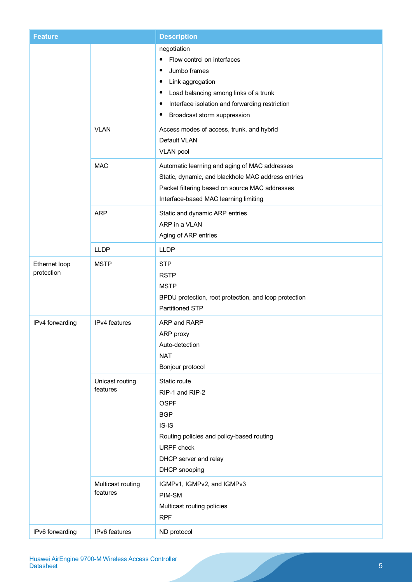| <b>Feature</b>              |                               | <b>Description</b>                                                                                                                                                                                                     |
|-----------------------------|-------------------------------|------------------------------------------------------------------------------------------------------------------------------------------------------------------------------------------------------------------------|
|                             |                               | negotiation<br>Flow control on interfaces<br>Jumbo frames<br>Link aggregation<br>٠<br>Load balancing among links of a trunk<br>Interface isolation and forwarding restriction<br>٠<br>Broadcast storm suppression<br>٠ |
|                             | <b>VLAN</b>                   | Access modes of access, trunk, and hybrid<br>Default VLAN<br><b>VLAN pool</b>                                                                                                                                          |
|                             | <b>MAC</b>                    | Automatic learning and aging of MAC addresses<br>Static, dynamic, and blackhole MAC address entries<br>Packet filtering based on source MAC addresses<br>Interface-based MAC learning limiting                         |
|                             | <b>ARP</b>                    | Static and dynamic ARP entries<br>ARP in a VLAN<br>Aging of ARP entries                                                                                                                                                |
|                             | <b>LLDP</b>                   | <b>LLDP</b>                                                                                                                                                                                                            |
| Ethernet loop<br>protection | <b>MSTP</b>                   | <b>STP</b><br><b>RSTP</b><br><b>MSTP</b><br>BPDU protection, root protection, and loop protection<br>Partitioned STP                                                                                                   |
| IPv4 forwarding             | IPv4 features                 | ARP and RARP<br>ARP proxy<br>Auto-detection<br><b>NAT</b><br>Bonjour protocol                                                                                                                                          |
|                             | Unicast routing<br>features   | Static route<br>RIP-1 and RIP-2<br><b>OSPF</b><br><b>BGP</b><br>$IS-IS$<br>Routing policies and policy-based routing<br><b>URPF</b> check<br>DHCP server and relay<br>DHCP snooping                                    |
|                             | Multicast routing<br>features | IGMPv1, IGMPv2, and IGMPv3<br>PIM-SM<br>Multicast routing policies<br><b>RPF</b>                                                                                                                                       |
| IPv6 forwarding             | IPv6 features                 | ND protocol                                                                                                                                                                                                            |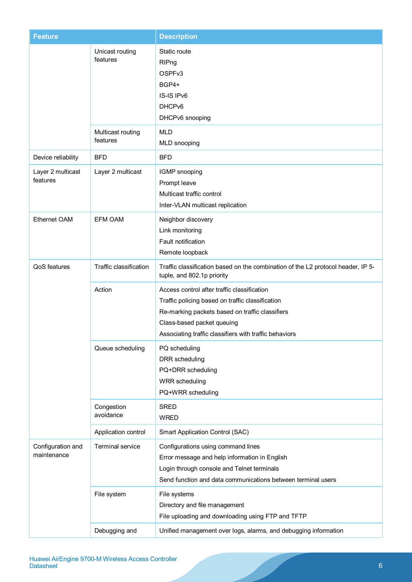| <b>Feature</b>                   |                               | <b>Description</b>                                                                                                                                                                                                                         |
|----------------------------------|-------------------------------|--------------------------------------------------------------------------------------------------------------------------------------------------------------------------------------------------------------------------------------------|
|                                  | Unicast routing<br>features   | Static route<br>RIPng<br>OSPF <sub>v3</sub><br>BGP4+<br>IS-IS IPv6<br>DHCP <sub>v6</sub><br>DHCPv6 snooping                                                                                                                                |
|                                  | Multicast routing<br>features | <b>MLD</b><br>MLD snooping                                                                                                                                                                                                                 |
| Device reliability               | <b>BFD</b>                    | <b>BFD</b>                                                                                                                                                                                                                                 |
| Layer 2 multicast<br>features    | Layer 2 multicast             | IGMP snooping<br>Prompt leave<br>Multicast traffic control<br>Inter-VLAN multicast replication                                                                                                                                             |
| Ethernet OAM                     | <b>EFM OAM</b>                | Neighbor discovery<br>Link monitoring<br>Fault notification<br>Remote loopback                                                                                                                                                             |
| QoS features                     | Traffic classification        | Traffic classification based on the combination of the L2 protocol header, IP 5-<br>tuple, and 802.1p priority                                                                                                                             |
|                                  | Action                        | Access control after traffic classification<br>Traffic policing based on traffic classification<br>Re-marking packets based on traffic classifiers<br>Class-based packet queuing<br>Associating traffic classifiers with traffic behaviors |
|                                  | Queue scheduling              | PQ scheduling<br>DRR scheduling<br>PQ+DRR scheduling<br><b>WRR</b> scheduling<br>PQ+WRR scheduling                                                                                                                                         |
|                                  | Congestion<br>avoidance       | <b>SRED</b><br><b>WRED</b>                                                                                                                                                                                                                 |
|                                  | Application control           | Smart Application Control (SAC)                                                                                                                                                                                                            |
| Configuration and<br>maintenance | <b>Terminal service</b>       | Configurations using command lines<br>Error message and help information in English<br>Login through console and Telnet terminals<br>Send function and data communications between terminal users                                          |
|                                  | File system                   | File systems<br>Directory and file management<br>File uploading and downloading using FTP and TFTP                                                                                                                                         |
|                                  | Debugging and                 | Unified management over logs, alarms, and debugging information                                                                                                                                                                            |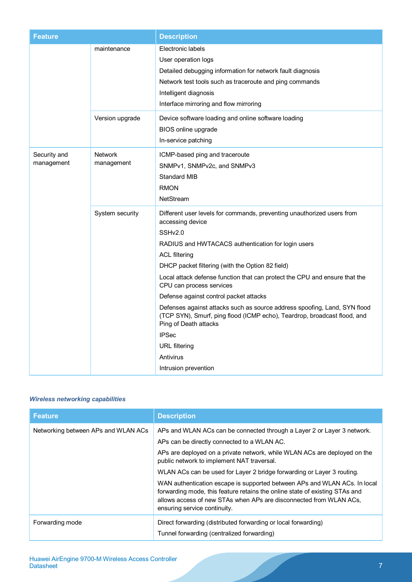| Feature                    |                              | <b>Description</b>                                                                                                                                                                                                                                                                                                                                                                                                                                                                                                                                                                                                                                         |
|----------------------------|------------------------------|------------------------------------------------------------------------------------------------------------------------------------------------------------------------------------------------------------------------------------------------------------------------------------------------------------------------------------------------------------------------------------------------------------------------------------------------------------------------------------------------------------------------------------------------------------------------------------------------------------------------------------------------------------|
|                            | maintenance                  | Electronic labels<br>User operation logs<br>Detailed debugging information for network fault diagnosis<br>Network test tools such as traceroute and ping commands<br>Intelligent diagnosis<br>Interface mirroring and flow mirroring                                                                                                                                                                                                                                                                                                                                                                                                                       |
|                            | Version upgrade              | Device software loading and online software loading<br>BIOS online upgrade<br>In-service patching                                                                                                                                                                                                                                                                                                                                                                                                                                                                                                                                                          |
| Security and<br>management | <b>Network</b><br>management | ICMP-based ping and traceroute<br>SNMPv1, SNMPv2c, and SNMPv3<br><b>Standard MIB</b><br><b>RMON</b><br>NetStream                                                                                                                                                                                                                                                                                                                                                                                                                                                                                                                                           |
|                            | System security              | Different user levels for commands, preventing unauthorized users from<br>accessing device<br>SSHv2.0<br>RADIUS and HWTACACS authentication for login users<br><b>ACL filtering</b><br>DHCP packet filtering (with the Option 82 field)<br>Local attack defense function that can protect the CPU and ensure that the<br>CPU can process services<br>Defense against control packet attacks<br>Defenses against attacks such as source address spoofing, Land, SYN flood<br>(TCP SYN), Smurf, ping flood (ICMP echo), Teardrop, broadcast flood, and<br>Ping of Death attacks<br><b>IPSec</b><br><b>URL</b> filtering<br>Antivirus<br>Intrusion prevention |

### *Wireless networking capabilities*

| <b>Feature</b>                      | <b>Description</b>                                                                                                                                                                                                                                             |
|-------------------------------------|----------------------------------------------------------------------------------------------------------------------------------------------------------------------------------------------------------------------------------------------------------------|
| Networking between APs and WLAN ACs | APs and WLAN ACs can be connected through a Layer 2 or Layer 3 network.                                                                                                                                                                                        |
|                                     | APs can be directly connected to a WLAN AC.                                                                                                                                                                                                                    |
|                                     | APs are deployed on a private network, while WLAN ACs are deployed on the<br>public network to implement NAT traversal.                                                                                                                                        |
|                                     | WLAN ACs can be used for Layer 2 bridge forwarding or Layer 3 routing.                                                                                                                                                                                         |
|                                     | WAN authentication escape is supported between APs and WLAN ACs. In local<br>forwarding mode, this feature retains the online state of existing STAs and<br>allows access of new STAs when APs are disconnected from WLAN ACs,<br>ensuring service continuity. |
| Forwarding mode                     | Direct forwarding (distributed forwarding or local forwarding)                                                                                                                                                                                                 |
|                                     | Tunnel forwarding (centralized forwarding)                                                                                                                                                                                                                     |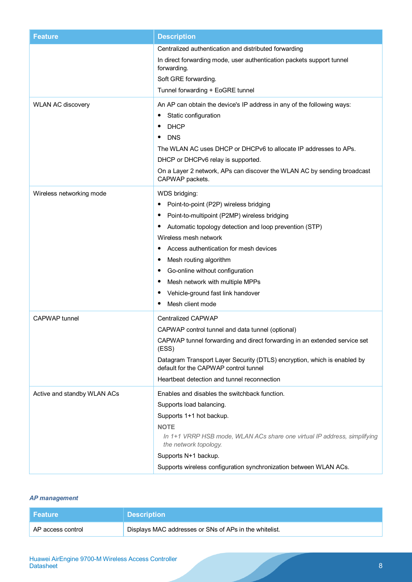| <b>Feature</b>              | <b>Description</b>                                                                                                                                                                                                                                                                                                                                                                                                                                                  |
|-----------------------------|---------------------------------------------------------------------------------------------------------------------------------------------------------------------------------------------------------------------------------------------------------------------------------------------------------------------------------------------------------------------------------------------------------------------------------------------------------------------|
|                             | Centralized authentication and distributed forwarding<br>In direct forwarding mode, user authentication packets support tunnel<br>forwarding.<br>Soft GRE forwarding.<br>Tunnel forwarding + EoGRE tunnel                                                                                                                                                                                                                                                           |
| <b>WLAN AC discovery</b>    | An AP can obtain the device's IP address in any of the following ways:<br>Static configuration<br><b>DHCP</b><br><b>DNS</b><br>The WLAN AC uses DHCP or DHCPv6 to allocate IP addresses to APs.<br>DHCP or DHCPv6 relay is supported.<br>On a Layer 2 network, APs can discover the WLAN AC by sending broadcast<br>CAPWAP packets.                                                                                                                                 |
| Wireless networking mode    | WDS bridging:<br>Point-to-point (P2P) wireless bridging<br>$\bullet$<br>Point-to-multipoint (P2MP) wireless bridging<br>$\bullet$<br>Automatic topology detection and loop prevention (STP)<br>Wireless mesh network<br>Access authentication for mesh devices<br>$\bullet$<br>Mesh routing algorithm<br>Go-online without configuration<br>$\bullet$<br>Mesh network with multiple MPPs<br>$\bullet$<br>Vehicle-ground fast link handover<br>Mesh client mode<br>٠ |
| <b>CAPWAP</b> tunnel        | <b>Centralized CAPWAP</b><br>CAPWAP control tunnel and data tunnel (optional)<br>CAPWAP tunnel forwarding and direct forwarding in an extended service set<br>(ESS)<br>Datagram Transport Layer Security (DTLS) encryption, which is enabled by<br>default for the CAPWAP control tunnel<br>Heartbeat detection and tunnel reconnection                                                                                                                             |
| Active and standby WLAN ACs | Enables and disables the switchback function.<br>Supports load balancing.<br>Supports 1+1 hot backup.<br><b>NOTE</b><br>In 1+1 VRRP HSB mode, WLAN ACs share one virtual IP address, simplifying<br>the network topology.<br>Supports N+1 backup.<br>Supports wireless configuration synchronization between WLAN ACs.                                                                                                                                              |

### *AP management*

| l Feature         | <b>Description</b>                                     |
|-------------------|--------------------------------------------------------|
| AP access control | Displays MAC addresses or SNs of APs in the whitelist. |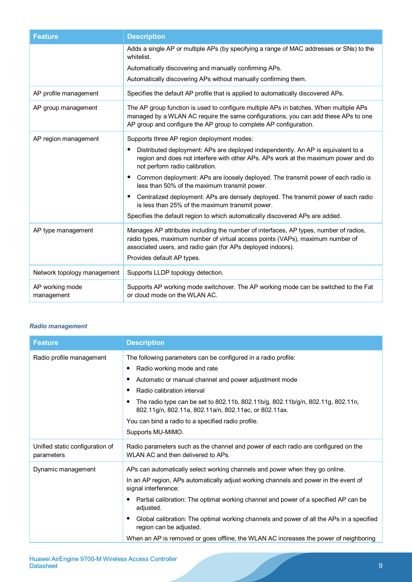| <b>Feature</b>                | <b>Description</b>                                                                                                                                                                                                                                                    |
|-------------------------------|-----------------------------------------------------------------------------------------------------------------------------------------------------------------------------------------------------------------------------------------------------------------------|
|                               | Adds a single AP or multiple APs (by specifying a range of MAC addresses or SNs) to the<br>whitelist.                                                                                                                                                                 |
|                               | Automatically discovering and manually confirming APs.                                                                                                                                                                                                                |
|                               | Automatically discovering APs without manually confirming them.                                                                                                                                                                                                       |
| AP profile management         | Specifies the default AP profile that is applied to automatically discovered APs.                                                                                                                                                                                     |
| AP group management           | The AP group function is used to configure multiple APs in batches. When multiple APs<br>managed by a WLAN AC require the same configurations, you can add these APs to one<br>AP group and configure the AP group to complete AP configuration.                      |
| AP region management          | Supports three AP region deployment modes:                                                                                                                                                                                                                            |
|                               | Distributed deployment: APs are deployed independently. An AP is equivalent to a<br>٠<br>region and does not interfere with other APs. APs work at the maximum power and do<br>not perform radio calibration.                                                         |
|                               | Common deployment: APs are loosely deployed. The transmit power of each radio is<br>$\bullet$<br>less than 50% of the maximum transmit power.                                                                                                                         |
|                               | Centralized deployment: APs are densely deployed. The transmit power of each radio<br>$\bullet$<br>is less than 25% of the maximum transmit power.                                                                                                                    |
|                               | Specifies the default region to which automatically discovered APs are added.                                                                                                                                                                                         |
| AP type management            | Manages AP attributes including the number of interfaces, AP types, number of radios,<br>radio types, maximum number of virtual access points (VAPs), maximum number of<br>associated users, and radio gain (for APs deployed indoors).<br>Provides default AP types. |
| Network topology management   | Supports LLDP topology detection.                                                                                                                                                                                                                                     |
| AP working mode<br>management | Supports AP working mode switchover. The AP working mode can be switched to the Fat<br>or cloud mode on the WLAN AC.                                                                                                                                                  |

#### *Radio management*

| <b>Feature</b>                                | <b>Description</b>                                                                                                                       |
|-----------------------------------------------|------------------------------------------------------------------------------------------------------------------------------------------|
| Radio profile management                      | The following parameters can be configured in a radio profile:                                                                           |
|                                               | Radio working mode and rate                                                                                                              |
|                                               | Automatic or manual channel and power adjustment mode<br>Radio calibration interval                                                      |
|                                               |                                                                                                                                          |
|                                               | The radio type can be set to 802.11b, 802.11b/g, 802.11b/g/n, 802.11g, 802.11n,<br>802.11g/n, 802.11a, 802.11a/n, 802.11ac, or 802.11ax. |
|                                               | You can bind a radio to a specified radio profile.                                                                                       |
|                                               | Supports MU-MIMO.                                                                                                                        |
| Unified static configuration of<br>parameters | Radio parameters such as the channel and power of each radio are configured on the<br>WLAN AC and then delivered to APs.                 |
| Dynamic management                            | APs can automatically select working channels and power when they go online.                                                             |
|                                               | In an AP region, APs automatically adjust working channels and power in the event of<br>signal interference:                             |
|                                               | Partial calibration: The optimal working channel and power of a specified AP can be<br>adjusted.                                         |
|                                               | Global calibration: The optimal working channels and power of all the APs in a specified<br>region can be adjusted.                      |
|                                               | When an AP is removed or goes offline, the WLAN AC increases the power of neighboring                                                    |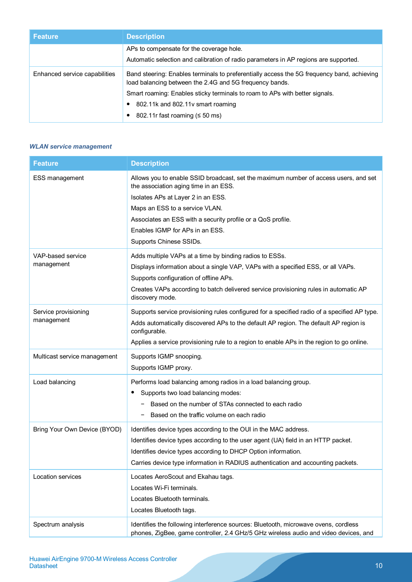| <b>Feature</b>                | <b>Description</b>                                                                                                                                    |  |  |
|-------------------------------|-------------------------------------------------------------------------------------------------------------------------------------------------------|--|--|
|                               | APs to compensate for the coverage hole.                                                                                                              |  |  |
|                               | Automatic selection and calibration of radio parameters in AP regions are supported.                                                                  |  |  |
| Enhanced service capabilities | Band steering: Enables terminals to preferentially access the 5G frequency band, achieving<br>load balancing between the 2.4G and 5G frequency bands. |  |  |
|                               | Smart roaming: Enables sticky terminals to roam to APs with better signals.                                                                           |  |  |
|                               | 802.11k and 802.11y smart roaming                                                                                                                     |  |  |
|                               | 802.11 fast roaming ( $\leq 50$ ms)                                                                                                                   |  |  |

#### *WLAN service management*

| <b>Feature</b>                     | <b>Description</b>                                                                                                                                                                                                                                                                                                                 |
|------------------------------------|------------------------------------------------------------------------------------------------------------------------------------------------------------------------------------------------------------------------------------------------------------------------------------------------------------------------------------|
| <b>ESS management</b>              | Allows you to enable SSID broadcast, set the maximum number of access users, and set<br>the association aging time in an ESS.<br>Isolates APs at Layer 2 in an ESS.<br>Maps an ESS to a service VLAN.<br>Associates an ESS with a security profile or a QoS profile.<br>Enables IGMP for APs in an ESS.<br>Supports Chinese SSIDs. |
| VAP-based service                  | Adds multiple VAPs at a time by binding radios to ESSs.                                                                                                                                                                                                                                                                            |
| management                         | Displays information about a single VAP, VAPs with a specified ESS, or all VAPs.<br>Supports configuration of offline APs.<br>Creates VAPs according to batch delivered service provisioning rules in automatic AP<br>discovery mode.                                                                                              |
| Service provisioning<br>management | Supports service provisioning rules configured for a specified radio of a specified AP type.<br>Adds automatically discovered APs to the default AP region. The default AP region is<br>configurable.<br>Applies a service provisioning rule to a region to enable APs in the region to go online.                                 |
| Multicast service management       | Supports IGMP snooping.<br>Supports IGMP proxy.                                                                                                                                                                                                                                                                                    |
| Load balancing                     | Performs load balancing among radios in a load balancing group.<br>Supports two load balancing modes:<br>Based on the number of STAs connected to each radio<br>Based on the traffic volume on each radio                                                                                                                          |
| Bring Your Own Device (BYOD)       | Identifies device types according to the OUI in the MAC address.<br>Identifies device types according to the user agent (UA) field in an HTTP packet.<br>Identifies device types according to DHCP Option information.<br>Carries device type information in RADIUS authentication and accounting packets.                         |
| Location services                  | Locates AeroScout and Ekahau tags.<br>Locates Wi-Fi terminals.<br>Locates Bluetooth terminals.<br>Locates Bluetooth tags.                                                                                                                                                                                                          |
| Spectrum analysis                  | Identifies the following interference sources: Bluetooth, microwave ovens, cordless<br>phones, ZigBee, game controller, 2.4 GHz/5 GHz wireless audio and video devices, and                                                                                                                                                        |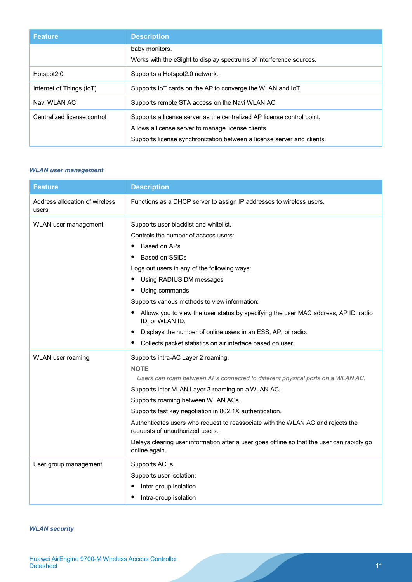| <b>Feature</b>              | <b>Description</b>                                                                                                                                                                                     |
|-----------------------------|--------------------------------------------------------------------------------------------------------------------------------------------------------------------------------------------------------|
|                             | baby monitors.<br>Works with the eSight to display spectrums of interference sources.                                                                                                                  |
| Hotspot <sub>2.0</sub>      | Supports a Hotspot 2.0 network.                                                                                                                                                                        |
| Internet of Things (IoT)    | Supports IoT cards on the AP to converge the WLAN and IoT.                                                                                                                                             |
| Navi WLAN AC                | Supports remote STA access on the Navi WLAN AC.                                                                                                                                                        |
| Centralized license control | Supports a license server as the centralized AP license control point.<br>Allows a license server to manage license clients.<br>Supports license synchronization between a license server and clients. |

#### *WLAN user management*

| <b>Feature</b>                          | <b>Description</b>                                                                                                 |
|-----------------------------------------|--------------------------------------------------------------------------------------------------------------------|
| Address allocation of wireless<br>users | Functions as a DHCP server to assign IP addresses to wireless users.                                               |
| WLAN user management                    | Supports user blacklist and whitelist.                                                                             |
|                                         | Controls the number of access users:                                                                               |
|                                         | Based on APs                                                                                                       |
|                                         | Based on SSIDs                                                                                                     |
|                                         | Logs out users in any of the following ways:                                                                       |
|                                         | Using RADIUS DM messages                                                                                           |
|                                         | Using commands                                                                                                     |
|                                         | Supports various methods to view information:                                                                      |
|                                         | Allows you to view the user status by specifying the user MAC address, AP ID, radio<br>ID, or WLAN ID.             |
|                                         | Displays the number of online users in an ESS, AP, or radio.<br>٠                                                  |
|                                         | Collects packet statistics on air interface based on user.                                                         |
| WLAN user roaming                       | Supports intra-AC Layer 2 roaming.                                                                                 |
|                                         | <b>NOTE</b>                                                                                                        |
|                                         | Users can roam between APs connected to different physical ports on a WLAN AC.                                     |
|                                         | Supports inter-VLAN Layer 3 roaming on a WLAN AC.                                                                  |
|                                         | Supports roaming between WLAN ACs.                                                                                 |
|                                         | Supports fast key negotiation in 802.1X authentication.                                                            |
|                                         | Authenticates users who request to reassociate with the WLAN AC and rejects the<br>requests of unauthorized users. |
|                                         | Delays clearing user information after a user goes offline so that the user can rapidly go<br>online again.        |
| User group management                   | Supports ACLs.                                                                                                     |
|                                         | Supports user isolation:                                                                                           |
|                                         | Inter-group isolation                                                                                              |
|                                         | Intra-group isolation                                                                                              |

#### *WLAN security*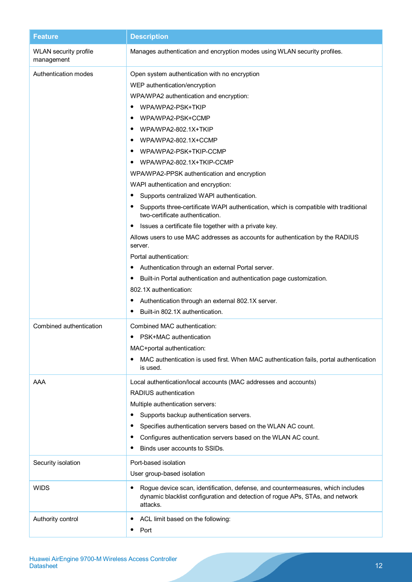| <b>Feature</b>                             | <b>Description</b>                                                                                                                                                                                                                                                                                                                              |
|--------------------------------------------|-------------------------------------------------------------------------------------------------------------------------------------------------------------------------------------------------------------------------------------------------------------------------------------------------------------------------------------------------|
| <b>WLAN</b> security profile<br>management | Manages authentication and encryption modes using WLAN security profiles.                                                                                                                                                                                                                                                                       |
| Authentication modes                       | Open system authentication with no encryption<br>WEP authentication/encryption<br>WPA/WPA2 authentication and encryption:<br>WPA/WPA2-PSK+TKIP<br>WPA/WPA2-PSK+CCMP                                                                                                                                                                             |
|                                            | WPA/WPA2-802.1X+TKIP<br>٠<br>WPA/WPA2-802.1X+CCMP<br>٠<br>WPA/WPA2-PSK+TKIP-CCMP<br>WPA/WPA2-802.1X+TKIP-CCMP<br>WPA/WPA2-PPSK authentication and encryption                                                                                                                                                                                    |
|                                            | WAPI authentication and encryption:<br>Supports centralized WAPI authentication.<br>٠<br>Supports three-certificate WAPI authentication, which is compatible with traditional<br>two-certificate authentication.                                                                                                                                |
|                                            | Issues a certificate file together with a private key.<br>Allows users to use MAC addresses as accounts for authentication by the RADIUS<br>server.                                                                                                                                                                                             |
|                                            | Portal authentication:<br>Authentication through an external Portal server.<br>Built-in Portal authentication and authentication page customization.<br>$\bullet$<br>802.1X authentication:<br>Authentication through an external 802.1X server.<br>Built-in 802.1X authentication.                                                             |
| Combined authentication                    | Combined MAC authentication:<br>PSK+MAC authentication<br>MAC+portal authentication:<br>MAC authentication is used first. When MAC authentication fails, portal authentication<br>is used.                                                                                                                                                      |
| AAA                                        | Local authentication/local accounts (MAC addresses and accounts)<br>RADIUS authentication<br>Multiple authentication servers:<br>Supports backup authentication servers.<br>٠<br>Specifies authentication servers based on the WLAN AC count.<br>Configures authentication servers based on the WLAN AC count.<br>Binds user accounts to SSIDs. |
| Security isolation                         | Port-based isolation<br>User group-based isolation                                                                                                                                                                                                                                                                                              |
| <b>WIDS</b>                                | Rogue device scan, identification, defense, and countermeasures, which includes<br>dynamic blacklist configuration and detection of rogue APs, STAs, and network<br>attacks.                                                                                                                                                                    |
| Authority control                          | ACL limit based on the following:<br>٠<br>Port<br>٠                                                                                                                                                                                                                                                                                             |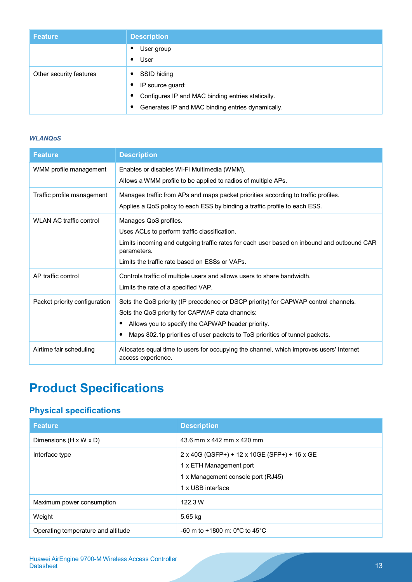| <b>Feature</b>          | <b>Description</b>                                             |
|-------------------------|----------------------------------------------------------------|
|                         | User group                                                     |
|                         | User<br>$\bullet$                                              |
| Other security features | SSID hiding                                                    |
|                         | IP source guard:                                               |
|                         | Configures IP and MAC binding entries statically.<br>$\bullet$ |
|                         | Generates IP and MAC binding entries dynamically.<br>$\bullet$ |

#### *WLANQoS*

| <b>Feature</b>                 | <b>Description</b>                                                                                                                                                                                                                                                              |
|--------------------------------|---------------------------------------------------------------------------------------------------------------------------------------------------------------------------------------------------------------------------------------------------------------------------------|
| WMM profile management         | Enables or disables Wi-Fi Multimedia (WMM).<br>Allows a WMM profile to be applied to radios of multiple APs.                                                                                                                                                                    |
| Traffic profile management     | Manages traffic from APs and maps packet priorities according to traffic profiles.<br>Applies a QoS policy to each ESS by binding a traffic profile to each ESS.                                                                                                                |
| <b>WLAN AC traffic control</b> | Manages QoS profiles.<br>Uses ACLs to perform traffic classification.<br>Limits incoming and outgoing traffic rates for each user based on inbound and outbound CAR<br>parameters.<br>Limits the traffic rate based on FSSs or VAPs.                                            |
| AP traffic control             | Controls traffic of multiple users and allows users to share bandwidth.<br>Limits the rate of a specified VAP.                                                                                                                                                                  |
| Packet priority configuration  | Sets the QoS priority (IP precedence or DSCP priority) for CAPWAP control channels.<br>Sets the QoS priority for CAPWAP data channels:<br>Allows you to specify the CAPWAP header priority.<br>٠<br>Maps 802.1p priorities of user packets to ToS priorities of tunnel packets. |
| Airtime fair scheduling        | Allocates equal time to users for occupying the channel, which improves users' Internet<br>access experience.                                                                                                                                                                   |

# **Product Specifications**

# **Physical specifications**

| <b>Feature</b>                     | <b>Description</b>                                                                                                                 |
|------------------------------------|------------------------------------------------------------------------------------------------------------------------------------|
| Dimensions (H x W x D)             | 43.6 mm x 442 mm x 420 mm                                                                                                          |
| Interface type                     | 2 x 40G (QSFP+) + 12 x 10GE (SFP+) + 16 x GE<br>1 x ETH Management port<br>1 x Management console port (RJ45)<br>1 x USB interface |
| Maximum power consumption          | 122.3 W                                                                                                                            |
| Weight                             | 5.65 kg                                                                                                                            |
| Operating temperature and altitude | $-60$ m to $+1800$ m: 0°C to 45°C                                                                                                  |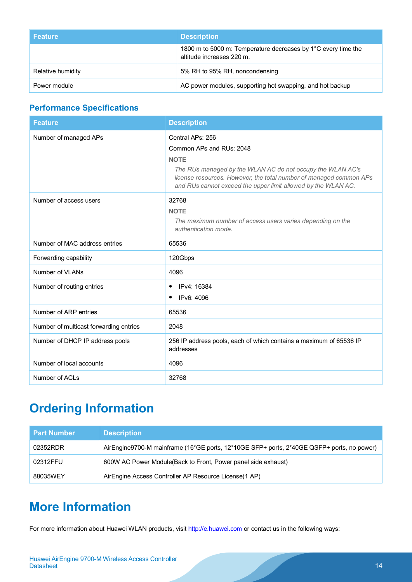| <b>Feature</b>    | <b>Description</b>                                                                         |
|-------------------|--------------------------------------------------------------------------------------------|
|                   | 1800 m to 5000 m: Temperature decreases by 1°C every time the<br>altitude increases 220 m. |
| Relative humidity | 5% RH to 95% RH, noncondensing                                                             |
| Power module      | AC power modules, supporting hot swapping, and hot backup                                  |

# **Performance Specifications**

| <b>Feature</b>                         | <b>Description</b>                                                                                                                                                                                                                                               |
|----------------------------------------|------------------------------------------------------------------------------------------------------------------------------------------------------------------------------------------------------------------------------------------------------------------|
| Number of managed APs                  | Central APs: 256<br>Common APs and RUs: 2048<br><b>NOTE</b><br>The RUs managed by the WLAN AC do not occupy the WLAN AC's<br>license resources. However, the total number of managed common APs<br>and RUs cannot exceed the upper limit allowed by the WLAN AC. |
| Number of access users                 | 32768<br><b>NOTE</b><br>The maximum number of access users varies depending on the<br>authentication mode.                                                                                                                                                       |
| Number of MAC address entries          | 65536                                                                                                                                                                                                                                                            |
| Forwarding capability                  | 120Gbps                                                                                                                                                                                                                                                          |
| Number of VLANs                        | 4096                                                                                                                                                                                                                                                             |
| Number of routing entries              | IPv4: 16384<br>٠<br>IPv6: 4096<br>٠                                                                                                                                                                                                                              |
| Number of ARP entries                  | 65536                                                                                                                                                                                                                                                            |
| Number of multicast forwarding entries | 2048                                                                                                                                                                                                                                                             |
| Number of DHCP IP address pools        | 256 IP address pools, each of which contains a maximum of 65536 IP<br>addresses                                                                                                                                                                                  |
| Number of local accounts               | 4096                                                                                                                                                                                                                                                             |
| Number of ACLs                         | 32768                                                                                                                                                                                                                                                            |

# **Ordering Information**

| <b>Part Number</b> | <b>Description</b>                                                                        |
|--------------------|-------------------------------------------------------------------------------------------|
| 02352RDR           | AirEngine9700-M mainframe (16*GE ports, 12*10GE SFP+ ports, 2*40GE QSFP+ ports, no power) |
| 02312FFU           | 600W AC Power Module (Back to Front, Power panel side exhaust)                            |
| 88035WEY           | AirEngine Access Controller AP Resource License (1 AP)                                    |

# **More Information**

For more information about Huawei WLAN products, visit [http://e.huawei.com](http://e.huawei.com/) or contact us in the following ways: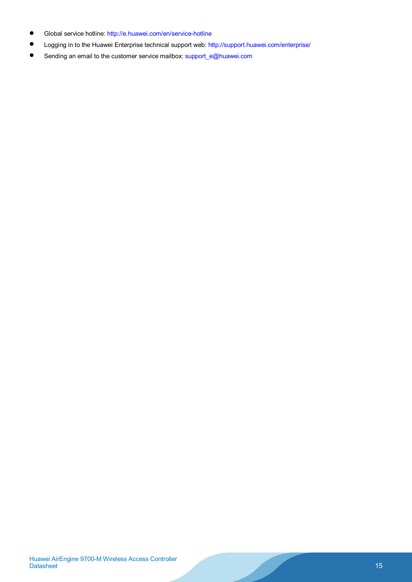- Global service hotline:<http://e.huawei.com/en/service-hotline>
- Logging in to the Huawei Enterprise technical support web:<http://support.huawei.com/enterprise/>
- Sending an email to the customer service mailbox: support\_e@huawei.com